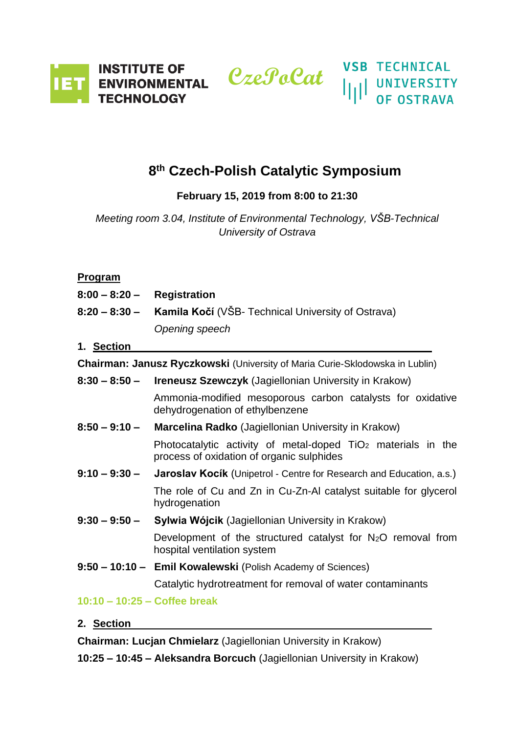

# **8 th Czech-Polish Catalytic Symposium**

## **February 15, 2019 from 8:00 to 21:30**

*Meeting room 3.04, Institute of Environmental Technology, VŠB-Technical University of Ostrava*

### **Program**

| $8:00 - 8:20 -$                                                              | <b>Registration</b>                                                                                                   |
|------------------------------------------------------------------------------|-----------------------------------------------------------------------------------------------------------------------|
| 8:20 – 8:30 –                                                                | <b>Kamila Kočí</b> (VŠB- Technical University of Ostrava)                                                             |
|                                                                              | Opening speech                                                                                                        |
| 1. Section                                                                   |                                                                                                                       |
| Chairman: Janusz Ryczkowski (University of Maria Curie-Sklodowska in Lublin) |                                                                                                                       |
| $8:30 - 8:50 -$                                                              | <b>Ireneusz Szewczyk (Jagiellonian University in Krakow)</b>                                                          |
|                                                                              | Ammonia-modified mesoporous carbon catalysts for oxidative<br>dehydrogenation of ethylbenzene                         |
| $8:50 - 9:10 -$                                                              | Marcelina Radko (Jagiellonian University in Krakow)                                                                   |
|                                                                              | Photocatalytic activity of metal-doped TiO <sub>2</sub> materials in the<br>process of oxidation of organic sulphides |
| $9:10 - 9:30 -$                                                              | <b>Jaroslav Kocik</b> (Unipetrol - Centre for Research and Education, a.s.)                                           |
|                                                                              | The role of Cu and Zn in Cu-Zn-AI catalyst suitable for glycerol<br>hydrogenation                                     |
| $9:30 - 9:50 -$                                                              | Sylwia Wójcik (Jagiellonian University in Krakow)                                                                     |
|                                                                              | Development of the structured catalyst for $N_2O$ removal from<br>hospital ventilation system                         |
|                                                                              | 9:50 - 10:10 - Emil Kowalewski (Polish Academy of Sciences)                                                           |
|                                                                              | Catalytic hydrotreatment for removal of water contaminants                                                            |
| 10:10 - 10:25 - Coffee break                                                 |                                                                                                                       |

**2. Section** 

**Chairman: Lucjan Chmielarz** (Jagiellonian University in Krakow)

**10:25 – 10:45 – Aleksandra Borcuch** (Jagiellonian University in Krakow)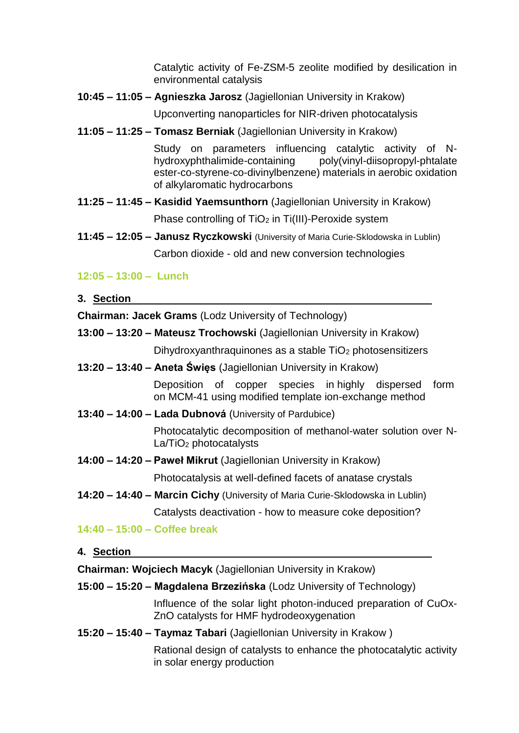Catalytic activity of Fe-ZSM-5 zeolite modified by desilication in environmental catalysis

**10:45 – 11:05 – Agnieszka Jarosz** (Jagiellonian University in Krakow)

Upconverting nanoparticles for NIR-driven photocatalysis

**11:05 – 11:25 – Tomasz Berniak** (Jagiellonian University in Krakow)

Study on parameters influencing catalytic activity of Nhydroxyphthalimide-containing poly(vinyl-diisopropyl-phtalate ester-co-styrene-co-divinylbenzene) materials in aerobic oxidation of alkylaromatic hydrocarbons

- **11:25 – 11:45 – Kasidid Yaemsunthorn** (Jagiellonian University in Krakow) Phase controlling of  $TiO<sub>2</sub>$  in Ti(III)-Peroxide system
- **11:45 – 12:05 – Janusz Ryczkowski** (University of Maria Curie-Sklodowska in Lublin) Carbon dioxide - old and new conversion technologies

### **12:05 – 13:00 – Lunch**

**3. Section**

**Chairman: Jacek Grams** (Lodz University of Technology)

- **13:00 – 13:20 – Mateusz Trochowski** (Jagiellonian University in Krakow) Dihydroxyanthraquinones as a stable TiO<sub>2</sub> photosensitizers
- **13:20 – 13:40 – Aneta Święs** (Jagiellonian University in Krakow)

Deposition of copper species in highly dispersed form on MCM-41 using modified template ion-exchange method

**13:40 – 14:00 – Lada Dubnová** (University of Pardubice)

Photocatalytic decomposition of methanol-water solution over N-La/TiO<sub>2</sub> photocatalysts

**14:00 – 14:20 – Paweł Mikrut** (Jagiellonian University in Krakow)

Photocatalysis at well-defined facets of anatase crystals

**14:20 – 14:40 – Marcin Cichy** (University of Maria Curie-Sklodowska in Lublin) Catalysts deactivation - how to measure coke deposition?

**14:40 – 15:00 – Coffee break**

**4. Section** 

**Chairman: Wojciech Macyk** (Jagiellonian University in Krakow)

**15:00 – 15:20 – Magdalena Brzezińska** (Lodz University of Technology)

Influence of the solar light photon-induced preparation of CuOx-ZnO catalysts for HMF hydrodeoxygenation

**15:20 – 15:40 – Taymaz Tabari** (Jagiellonian University in Krakow )

Rational design of catalysts to enhance the photocatalytic activity in solar energy production